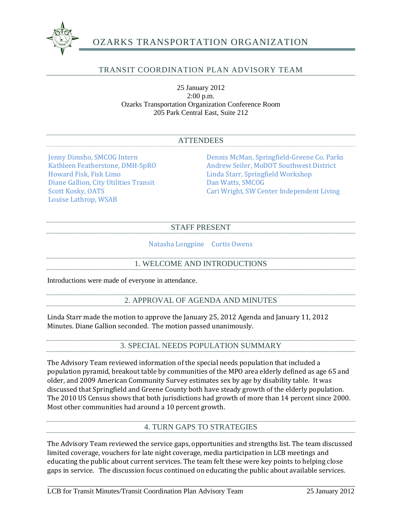

# OZARKS TRANSPORTATION ORGANIZATION

## TRANSIT COORDINATION PLAN ADVISORY TEAM

25 January 2012 2:00 p.m. Ozarks Transportation Organization Conference Room 205 Park Central East, Suite 212

#### ATTENDEES

Diane Gallion, City Utilities Transit Scott Kosky, OATS Louise Lathrop, WSAB

Jenny Dimsho, SMCOG Intern Dennis McMan, Springfield-Greene Co. Parks<br>Kathleen Featherstone, DMH-SpRO Andrew Seiler, MoDOT Southwest District Kathleen Featherstone, DMH-SpRO<br>
Howard Fisk. Fisk Limo<br>
Linda Starr. Springfield Workshop Linda Starr, Springfield Workshop<br>Dan Watts, SMCOG Cari Wright, SW Center Independent Living

## STAFF PRESENT

#### Natasha Longpine Curtis Owens

### 1. WELCOME AND INTRODUCTIONS

Introductions were made of everyone in attendance.

#### 2. APPROVAL OF AGENDA AND MINUTES

Linda Starr made the motion to approve the January 25, 2012 Agenda and January 11, 2012 Minutes. Diane Gallion seconded. The motion passed unanimously.

#### 3. SPECIAL NEEDS POPULATION SUMMARY

The Advisory Team reviewed information of the special needs population that included a population pyramid, breakout table by communities of the MPO area elderly defined as age 65 and older, and 2009 American Community Survey estimates sex by age by disability table. It was discussed that Springfield and Greene County both have steady growth of the elderly population. The 2010 US Census shows that both jurisdictions had growth of more than 14 percent since 2000. Most other communities had around a 10 percent growth.

#### 4. TURN GAPS TO STRATEGIES

The Advisory Team reviewed the service gaps, opportunities and strengths list. The team discussed limited coverage, vouchers for late night coverage, media participation in LCB meetings and educating the public about current services. The team felt these were key points to helping close gaps in service. The discussion focus continued on educating the public about available services.